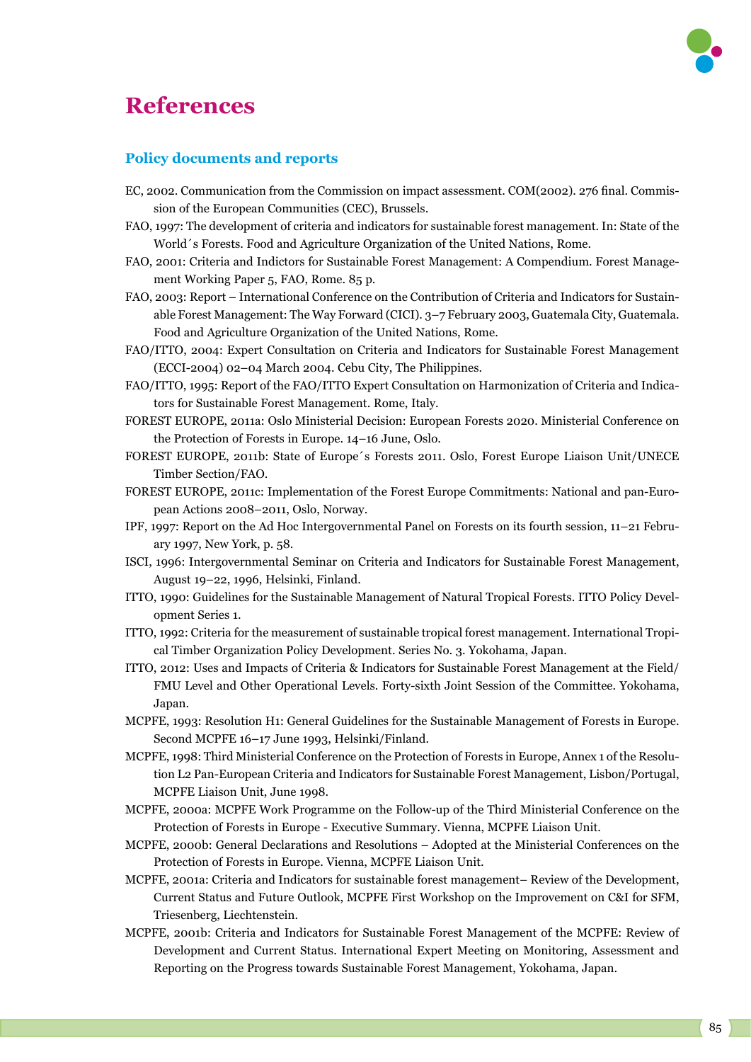## **References**



## **Policy documents and reports**

- EC, 2002. Communication from the Commission on impact assessment. COM(2002). 276 final. Commission of the European Communities (CEC), Brussels.
- FAO, 1997: The development of criteria and indicators for sustainable forest management. In: State of the World´s Forests. Food and Agriculture Organization of the United Nations, Rome.
- FAO, 2001: Criteria and Indictors for Sustainable Forest Management: A Compendium. Forest Management Working Paper 5, FAO, Rome. 85 p.
- FAO, 2003: Report International Conference on the Contribution of Criteria and Indicators for Sustainable Forest Management: The Way Forward (CICI). 3–7 February 2003, Guatemala City, Guatemala. Food and Agriculture Organization of the United Nations, Rome.
- FAO/ITTO, 2004: Expert Consultation on Criteria and Indicators for Sustainable Forest Management (ECCI-2004) 02–04 March 2004. Cebu City, The Philippines.
- FAO/ITTO, 1995: Report of the FAO/ITTO Expert Consultation on Harmonization of Criteria and Indicators for Sustainable Forest Management. Rome, Italy.
- FOREST EUROPE, 2011a: Oslo Ministerial Decision: European Forests 2020. Ministerial Conference on the Protection of Forests in Europe. 14–16 June, Oslo.
- FOREST EUROPE, 2011b: State of Europe´s Forests 2011. Oslo, Forest Europe Liaison Unit/UNECE Timber Section/FAO.
- FOREST EUROPE, 2011c: Implementation of the Forest Europe Commitments: National and pan-European Actions 2008–2011, Oslo, Norway.
- IPF, 1997: Report on the Ad Hoc Intergovernmental Panel on Forests on its fourth session, 11–21 February 1997, New York, p. 58.
- ISCI, 1996: Intergovernmental Seminar on Criteria and Indicators for Sustainable Forest Management, August 19–22, 1996, Helsinki, Finland.
- ITTO, 1990: Guidelines for the Sustainable Management of Natural Tropical Forests. ITTO Policy Development Series 1.
- ITTO, 1992: Criteria for the measurement of sustainable tropical forest management. International Tropical Timber Organization Policy Development. Series No. 3. Yokohama, Japan.
- ITTO, 2012: Uses and Impacts of Criteria & Indicators for Sustainable Forest Management at the Field/ FMU Level and Other Operational Levels. Forty-sixth Joint Session of the Committee. Yokohama, Japan.
- MCPFE, 1993: Resolution H1: General Guidelines for the Sustainable Management of Forests in Europe. Second MCPFE 16–17 June 1993, Helsinki/Finland.
- MCPFE, 1998: Third Ministerial Conference on the Protection of Forests in Europe, Annex 1 of the Resolution L2 Pan-European Criteria and Indicators for Sustainable Forest Management, Lisbon/Portugal, MCPFE Liaison Unit, June 1998.
- MCPFE, 2000a: MCPFE Work Programme on the Follow-up of the Third Ministerial Conference on the Protection of Forests in Europe - Executive Summary. Vienna, MCPFE Liaison Unit.
- MCPFE, 2000b: General Declarations and Resolutions Adopted at the Ministerial Conferences on the Protection of Forests in Europe. Vienna, MCPFE Liaison Unit.
- MCPFE, 2001a: Criteria and Indicators for sustainable forest management– Review of the Development, Current Status and Future Outlook, MCPFE First Workshop on the Improvement on C&I for SFM, Triesenberg, Liechtenstein.
- MCPFE, 2001b: Criteria and Indicators for Sustainable Forest Management of the MCPFE: Review of Development and Current Status. International Expert Meeting on Monitoring, Assessment and Reporting on the Progress towards Sustainable Forest Management, Yokohama, Japan.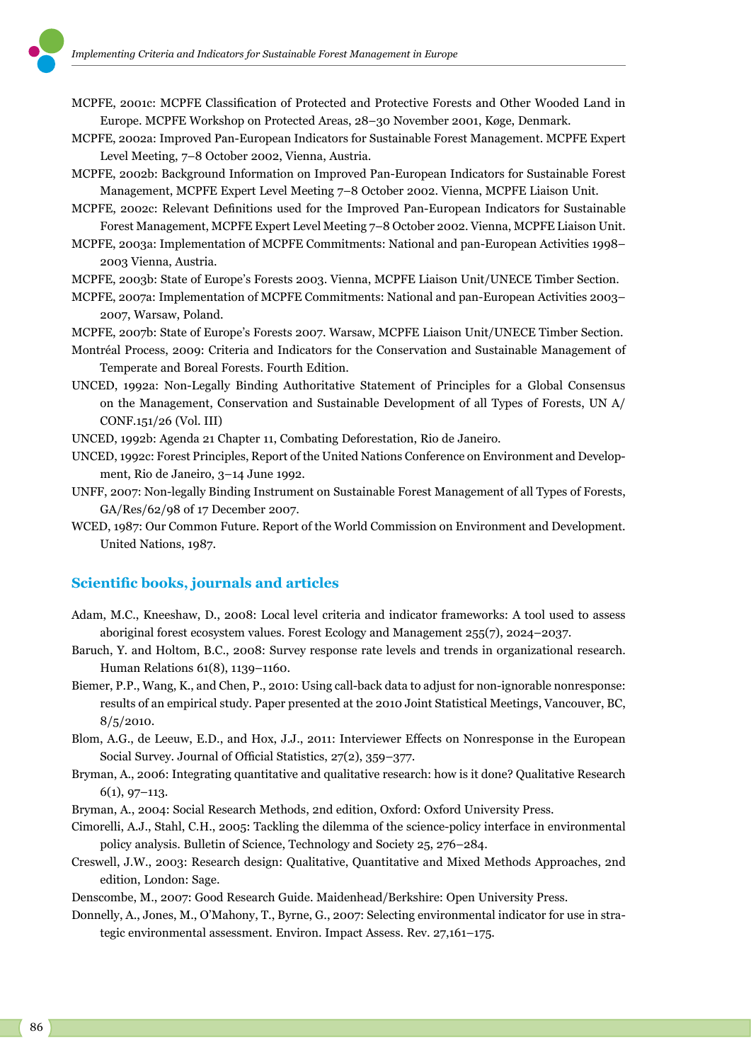

- MCPFE, 2002a: Improved Pan-European Indicators for Sustainable Forest Management. MCPFE Expert Level Meeting, 7–8 October 2002, Vienna, Austria.
- MCPFE, 2002b: Background Information on Improved Pan-European Indicators for Sustainable Forest Management, MCPFE Expert Level Meeting 7–8 October 2002. Vienna, MCPFE Liaison Unit.
- MCPFE, 2002c: Relevant Definitions used for the Improved Pan-European Indicators for Sustainable Forest Management, MCPFE Expert Level Meeting 7–8 October 2002. Vienna, MCPFE Liaison Unit.
- MCPFE, 2003a: Implementation of MCPFE Commitments: National and pan-European Activities 1998– 2003 Vienna, Austria.
- MCPFE, 2003b: State of Europe's Forests 2003. Vienna, MCPFE Liaison Unit/UNECE Timber Section.
- MCPFE, 2007a: Implementation of MCPFE Commitments: National and pan-European Activities 2003– 2007, Warsaw, Poland.
- MCPFE, 2007b: State of Europe's Forests 2007. Warsaw, MCPFE Liaison Unit/UNECE Timber Section.
- Montréal Process, 2009: Criteria and Indicators for the Conservation and Sustainable Management of Temperate and Boreal Forests. Fourth Edition.
- UNCED, 1992a: Non-Legally Binding Authoritative Statement of Principles for a Global Consensus on the Management, Conservation and Sustainable Development of all Types of Forests, UN A/ CONF.151/26 (Vol. III)
- UNCED, 1992b: Agenda 21 Chapter 11, Combating Deforestation, Rio de Janeiro.
- UNCED, 1992c: Forest Principles, Report of the United Nations Conference on Environment and Development, Rio de Janeiro, 3–14 June 1992.
- UNFF, 2007: Non-legally Binding Instrument on Sustainable Forest Management of all Types of Forests, GA/Res/62/98 of 17 December 2007.
- WCED, 1987: Our Common Future. Report of the World Commission on Environment and Development. United Nations, 1987.

## **Scientific books, journals and articles**

- Adam, M.C., Kneeshaw, D., 2008: Local level criteria and indicator frameworks: A tool used to assess aboriginal forest ecosystem values. Forest Ecology and Management 255(7), 2024–2037.
- Baruch, Y. and Holtom, B.C., 2008: Survey response rate levels and trends in organizational research. Human Relations 61(8), 1139–1160.
- Biemer, P.P., Wang, K., and Chen, P., 2010: Using call-back data to adjust for non-ignorable nonresponse: results of an empirical study. Paper presented at the 2010 Joint Statistical Meetings, Vancouver, BC,  $8/5/2010$ .
- Blom, A.G., de Leeuw, E.D., and Hox, J.J., 2011: Interviewer Effects on Nonresponse in the European Social Survey. Journal of Official Statistics, 27(2), 359–377.
- Bryman, A., 2006: Integrating quantitative and qualitative research: how is it done? Qualitative Research 6(1), 97–113.
- Bryman, A., 2004: Social Research Methods, 2nd edition, Oxford: Oxford University Press.
- Cimorelli, A.J., Stahl, C.H., 2005: Tackling the dilemma of the science-policy interface in environmental policy analysis. Bulletin of Science, Technology and Society 25, 276–284.
- Creswell, J.W., 2003: Research design: Qualitative, Quantitative and Mixed Methods Approaches, 2nd edition, London: Sage.
- Denscombe, M., 2007: Good Research Guide. Maidenhead/Berkshire: Open University Press.
- Donnelly, A., Jones, M., O'Mahony, T., Byrne, G., 2007: Selecting environmental indicator for use in strategic environmental assessment. Environ. Impact Assess. Rev. 27,161–175.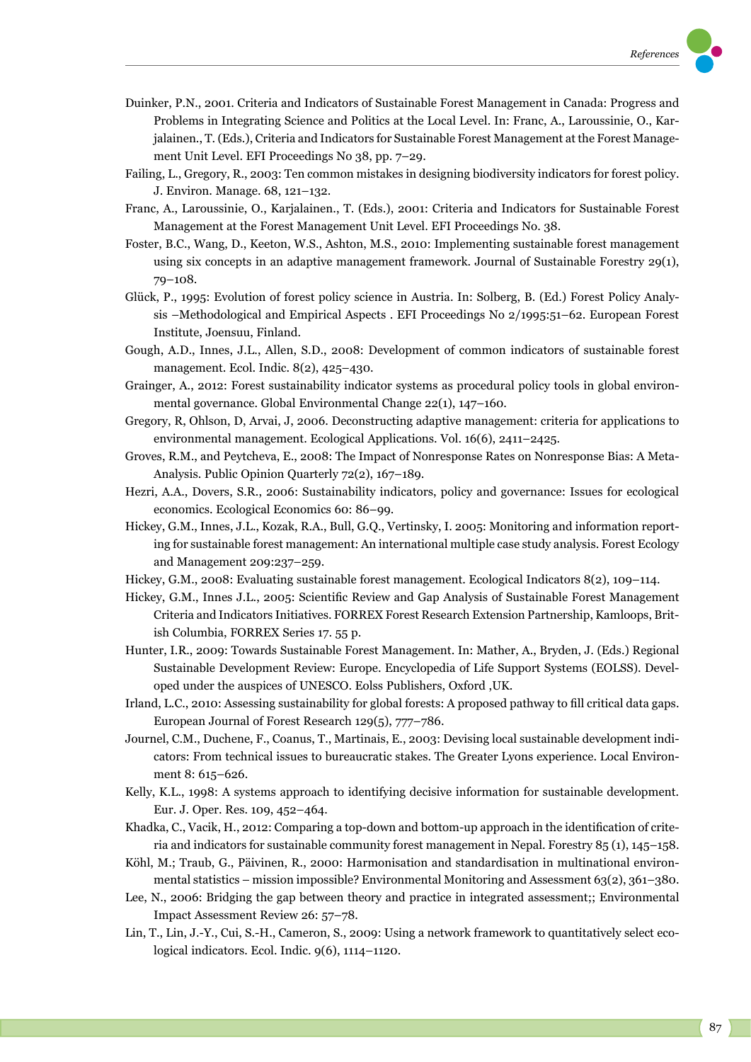- Duinker, P.N., 2001. Criteria and Indicators of Sustainable Forest Management in Canada: Progress and Problems in Integrating Science and Politics at the Local Level. In: Franc, A., Laroussinie, O., Karjalainen., T. (Eds.), Criteria and Indicators for Sustainable Forest Management at the Forest Management Unit Level. EFI Proceedings No 38, pp. 7–29.
- Failing, L., Gregory, R., 2003: Ten common mistakes in designing biodiversity indicators for forest policy. J. Environ. Manage. 68, 121–132.
- Franc, A., Laroussinie, O., Karjalainen., T. (Eds.), 2001: Criteria and Indicators for Sustainable Forest Management at the Forest Management Unit Level. EFI Proceedings No. 38.
- Foster, B.C., Wang, D., Keeton, W.S., Ashton, M.S., 2010: Implementing sustainable forest management using six concepts in an adaptive management framework. Journal of Sustainable Forestry 29(1), 79–108.
- Glück, P., 1995: Evolution of forest policy science in Austria. In: Solberg, B. (Ed.) Forest Policy Analysis –Methodological and Empirical Aspects . EFI Proceedings No 2/1995:51–62. European Forest Institute, Joensuu, Finland.
- Gough, A.D., Innes, J.L., Allen, S.D., 2008: Development of common indicators of sustainable forest management. Ecol. Indic. 8(2), 425–430.
- Grainger, A., 2012: Forest sustainability indicator systems as procedural policy tools in global environmental governance. Global Environmental Change 22(1), 147–160.
- Gregory, R, Ohlson, D, Arvai, J, 2006. Deconstructing adaptive management: criteria for applications to environmental management. Ecological Applications. Vol. 16(6), 2411–2425.
- Groves, R.M., and Peytcheva, E., 2008: The Impact of Nonresponse Rates on Nonresponse Bias: A Meta-Analysis. Public Opinion Quarterly 72(2), 167–189.
- Hezri, A.A., Dovers, S.R., 2006: Sustainability indicators, policy and governance: Issues for ecological economics. Ecological Economics 60: 86–99.
- Hickey, G.M., Innes, J.L., Kozak, R.A., Bull, G.Q., Vertinsky, I. 2005: Monitoring and information reporting for sustainable forest management: An international multiple case study analysis. Forest Ecology and Management 209:237–259.
- Hickey, G.M., 2008: Evaluating sustainable forest management. Ecological Indicators 8(2), 109–114.
- Hickey, G.M., Innes J.L., 2005: Scientific Review and Gap Analysis of Sustainable Forest Management Criteria and Indicators Initiatives. FORREX Forest Research Extension Partnership, Kamloops, British Columbia, FORREX Series 17. 55 p.
- Hunter, I.R., 2009: Towards Sustainable Forest Management. In: Mather, A., Bryden, J. (Eds.) Regional Sustainable Development Review: Europe. Encyclopedia of Life Support Systems (EOLSS). Developed under the auspices of UNESCO. Eolss Publishers, Oxford ,UK.
- Irland, L.C., 2010: Assessing sustainability for global forests: A proposed pathway to fill critical data gaps. European Journal of Forest Research 129(5), 777–786.
- Journel, C.M., Duchene, F., Coanus, T., Martinais, E., 2003: Devising local sustainable development indicators: From technical issues to bureaucratic stakes. The Greater Lyons experience. Local Environment 8: 615–626.
- Kelly, K.L., 1998: A systems approach to identifying decisive information for sustainable development. Eur. J. Oper. Res. 109, 452–464.
- Khadka, C., Vacik, H., 2012: Comparing a top-down and bottom-up approach in the identification of criteria and indicators for sustainable community forest management in Nepal. Forestry 85 (1), 145–158.
- Köhl, M.; Traub, G., Päivinen, R., 2000: Harmonisation and standardisation in multinational environmental statistics – mission impossible? Environmental Monitoring and Assessment 63(2), 361–380.
- Lee, N., 2006: Bridging the gap between theory and practice in integrated assessment;; Environmental Impact Assessment Review 26: 57–78.
- Lin, T., Lin, J.-Y., Cui, S.-H., Cameron, S., 2009: Using a network framework to quantitatively select ecological indicators. Ecol. Indic. 9(6), 1114–1120.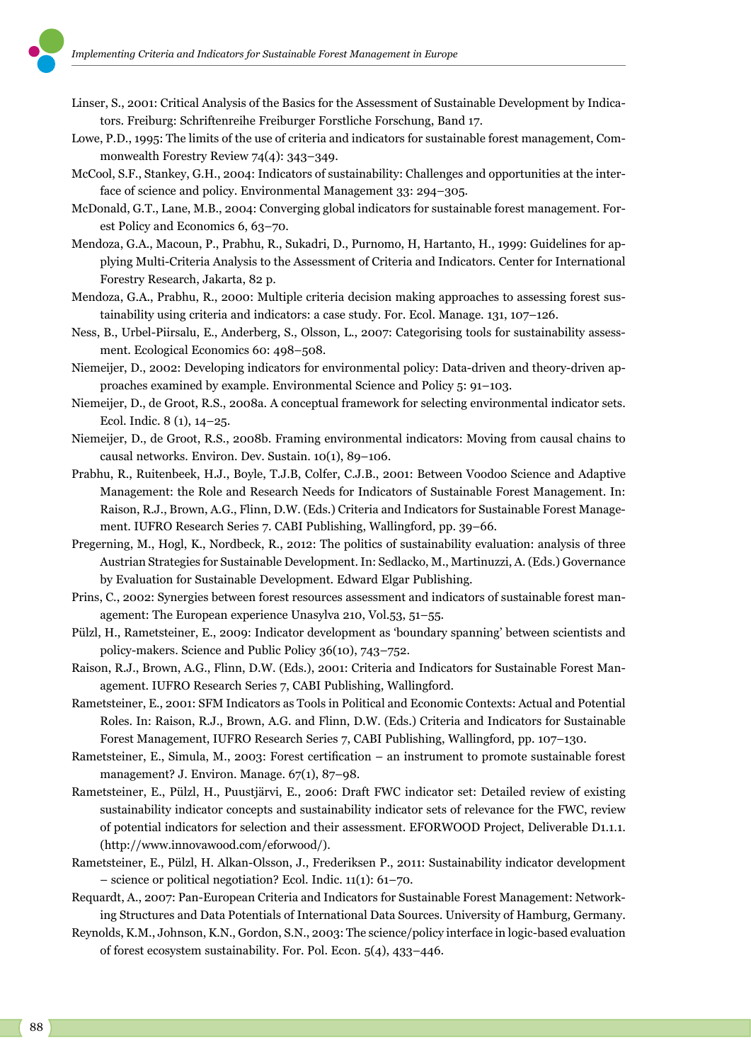- Linser, S., 2001: Critical Analysis of the Basics for the Assessment of Sustainable Development by Indicators. Freiburg: Schriftenreihe Freiburger Forstliche Forschung, Band 17.
- Lowe, P.D., 1995: The limits of the use of criteria and indicators for sustainable forest management, Commonwealth Forestry Review 74(4): 343–349.
- McCool, S.F., Stankey, G.H., 2004: Indicators of sustainability: Challenges and opportunities at the interface of science and policy. Environmental Management 33: 294–305.
- McDonald, G.T., Lane, M.B., 2004: Converging global indicators for sustainable forest management. Forest Policy and Economics 6, 63–70.
- Mendoza, G.A., Macoun, P., Prabhu, R., Sukadri, D., Purnomo, H, Hartanto, H., 1999: Guidelines for applying Multi-Criteria Analysis to the Assessment of Criteria and Indicators. Center for International Forestry Research, Jakarta, 82 p.
- Mendoza, G.A., Prabhu, R., 2000: Multiple criteria decision making approaches to assessing forest sustainability using criteria and indicators: a case study. For. Ecol. Manage. 131, 107–126.
- Ness, B., Urbel-Piirsalu, E., Anderberg, S., Olsson, L., 2007: Categorising tools for sustainability assessment. Ecological Economics 60: 498–508.
- Niemeijer, D., 2002: Developing indicators for environmental policy: Data-driven and theory-driven approaches examined by example. Environmental Science and Policy 5: 91–103.
- Niemeijer, D., de Groot, R.S., 2008a. A conceptual framework for selecting environmental indicator sets. Ecol. Indic. 8 (1), 14–25.
- Niemeijer, D., de Groot, R.S., 2008b. Framing environmental indicators: Moving from causal chains to causal networks. Environ. Dev. Sustain. 10(1), 89–106.
- Prabhu, R., Ruitenbeek, H.J., Boyle, T.J.B, Colfer, C.J.B., 2001: Between Voodoo Science and Adaptive Management: the Role and Research Needs for Indicators of Sustainable Forest Management. In: Raison, R.J., Brown, A.G., Flinn, D.W. (Eds.) Criteria and Indicators for Sustainable Forest Management. IUFRO Research Series 7. CABI Publishing, Wallingford, pp. 39–66.
- Pregerning, M., Hogl, K., Nordbeck, R., 2012: The politics of sustainability evaluation: analysis of three Austrian Strategies for Sustainable Development. In: Sedlacko, M., Martinuzzi, A. (Eds.) Governance by Evaluation for Sustainable Development. Edward Elgar Publishing.
- Prins, C., 2002: Synergies between forest resources assessment and indicators of sustainable forest management: The European experience Unasylva 210, Vol.53, 51–55.
- Pülzl, H., Rametsteiner, E., 2009: Indicator development as 'boundary spanning' between scientists and policy-makers. Science and Public Policy 36(10), 743–752.
- Raison, R.J., Brown, A.G., Flinn, D.W. (Eds.), 2001: Criteria and Indicators for Sustainable Forest Management. IUFRO Research Series 7, CABI Publishing, Wallingford.
- Rametsteiner, E., 2001: SFM Indicators as Tools in Political and Economic Contexts: Actual and Potential Roles. In: Raison, R.J., Brown, A.G. and Flinn, D.W. (Eds.) Criteria and Indicators for Sustainable Forest Management, IUFRO Research Series 7, CABI Publishing, Wallingford, pp. 107–130.
- Rametsteiner, E., Simula, M., 2003: Forest certification an instrument to promote sustainable forest management? J. Environ. Manage. 67(1), 87-98.
- Rametsteiner, E., Pülzl, H., Puustjärvi, E., 2006: Draft FWC indicator set: Detailed review of existing sustainability indicator concepts and sustainability indicator sets of relevance for the FWC, review of potential indicators for selection and their assessment. EFORWOOD Project, Deliverable D1.1.1. (http://www.innovawood.com/eforwood/).
- Rametsteiner, E., Pülzl, H. Alkan-Olsson, J., Frederiksen P., 2011: Sustainability indicator development – science or political negotiation? Ecol. Indic. 11(1): 61–70.
- Requardt, A., 2007: Pan-European Criteria and Indicators for Sustainable Forest Management: Networking Structures and Data Potentials of International Data Sources. University of Hamburg, Germany.
- Reynolds, K.M., Johnson, K.N., Gordon, S.N., 2003: The science/policy interface in logic-based evaluation of forest ecosystem sustainability. For. Pol. Econ. 5(4), 433–446.